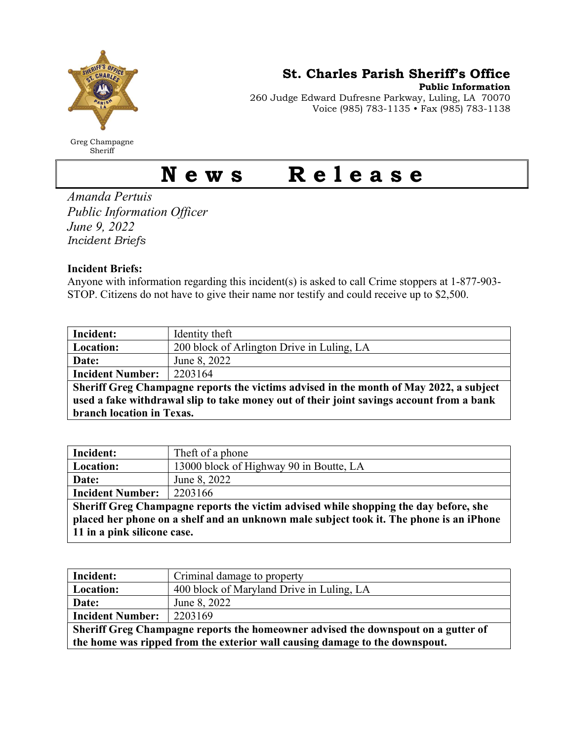

Greg Champagne Sheriff

St. Charles Parish Sheriff's Office

Public Information 260 Judge Edward Dufresne Parkway, Luling, LA 70070 Voice (985) 783-1135 • Fax (985) 783-1138

## News Release

Amanda Pertuis Public Information Officer June 9, 2022 Incident Briefs

## Incident Briefs:

Anyone with information regarding this incident(s) is asked to call Crime stoppers at 1-877-903- STOP. Citizens do not have to give their name nor testify and could receive up to \$2,500.

| Incident:                                                                                | Identity theft                             |  |
|------------------------------------------------------------------------------------------|--------------------------------------------|--|
| Location:                                                                                | 200 block of Arlington Drive in Luling, LA |  |
| Date:                                                                                    | June 8, 2022                               |  |
| <b>Incident Number:</b>                                                                  | 2203164                                    |  |
| Sheriff Greg Champagne reports the victims advised in the month of May 2022, a subject   |                                            |  |
| used a fake withdrawal slip to take money out of their joint savings account from a bank |                                            |  |
| branch location in Texas.                                                                |                                            |  |

| Incident:                                                                               | Theft of a phone                        |  |
|-----------------------------------------------------------------------------------------|-----------------------------------------|--|
| Location:                                                                               | 13000 block of Highway 90 in Boutte, LA |  |
| Date:                                                                                   | June 8, 2022                            |  |
| <b>Incident Number:</b>                                                                 | 2203166                                 |  |
| Sheriff Greg Champagne reports the victim advised while shopping the day before, she    |                                         |  |
| placed her phone on a shelf and an unknown male subject took it. The phone is an iPhone |                                         |  |
| 11 in a pink silicone case.                                                             |                                         |  |

| Criminal damage to property                                                       |  |  |
|-----------------------------------------------------------------------------------|--|--|
| 400 block of Maryland Drive in Luling, LA                                         |  |  |
| June 8, 2022                                                                      |  |  |
| 2203169                                                                           |  |  |
| Sheriff Greg Champagne reports the homeowner advised the downspout on a gutter of |  |  |
| the home was ripped from the exterior wall causing damage to the downspout.       |  |  |
|                                                                                   |  |  |